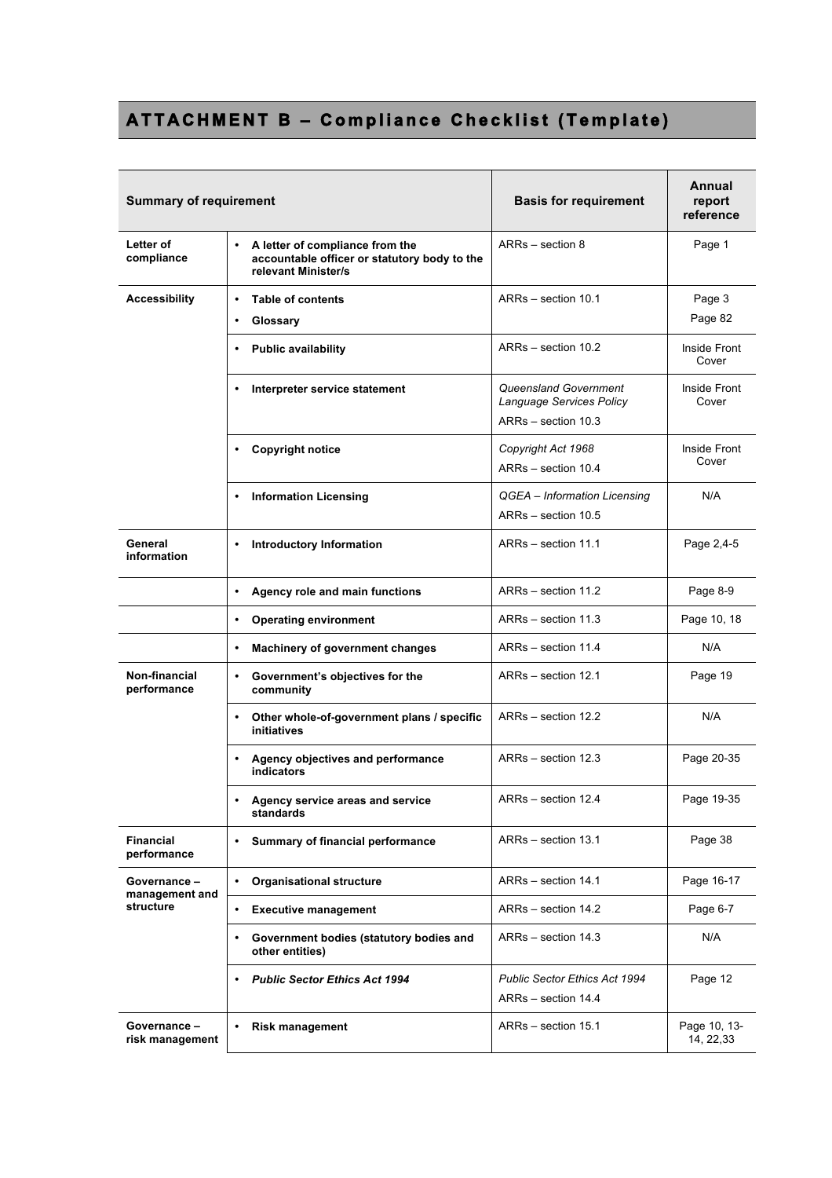## **ATTACHMENT B – Compliance Checklist (Template)**

| <b>Summary of requirement</b>   |                                                                                                        | <b>Basis for requirement</b>                                             | Annual<br>report<br>reference |
|---------------------------------|--------------------------------------------------------------------------------------------------------|--------------------------------------------------------------------------|-------------------------------|
| Letter of<br>compliance         | A letter of compliance from the<br>accountable officer or statutory body to the<br>relevant Minister/s | ARRs - section 8                                                         | Page 1                        |
| <b>Accessibility</b>            | <b>Table of contents</b><br>$\bullet$<br>Glossary<br>٠                                                 | ARRs - section 10.1                                                      | Page 3<br>Page 82             |
|                                 | <b>Public availability</b>                                                                             | ARRs - section 10.2                                                      | Inside Front<br>Cover         |
|                                 | Interpreter service statement                                                                          | Queensland Government<br>Language Services Policy<br>ARRs - section 10.3 | Inside Front<br>Cover         |
|                                 | <b>Copyright notice</b>                                                                                | Copyright Act 1968<br>ARRs - section 10.4                                | Inside Front<br>Cover         |
|                                 | <b>Information Licensing</b>                                                                           | QGEA - Information Licensing<br>ARRs - section 10.5                      | N/A                           |
| General<br>information          | <b>Introductory Information</b><br>$\bullet$                                                           | ARRs - section 11.1                                                      | Page 2,4-5                    |
|                                 | Agency role and main functions<br>$\bullet$                                                            | ARRs - section 11.2                                                      | Page 8-9                      |
|                                 | <b>Operating environment</b><br>$\bullet$                                                              | ARRs - section 11.3                                                      | Page 10, 18                   |
|                                 | Machinery of government changes<br>$\bullet$                                                           | ARRs - section 11.4                                                      | N/A                           |
| Non-financial<br>performance    | $\bullet$<br>Government's objectives for the<br>community                                              | ARRs - section 12.1                                                      | Page 19                       |
|                                 | Other whole-of-government plans / specific<br>٠<br>initiatives                                         | ARRs - section 12.2                                                      | N/A                           |
|                                 | Agency objectives and performance<br>indicators                                                        | ARRs - section 12.3                                                      | Page 20-35                    |
|                                 | Agency service areas and service<br>standards                                                          | ARRs - section 12.4                                                      | Page 19-35                    |
| <b>Financial</b><br>performance | Summary of financial performance<br>$\bullet$                                                          | ARRs - section 13.1                                                      | Page 38                       |
| Governance-<br>management and   | $\bullet$<br><b>Organisational structure</b>                                                           | ARRs - section 14.1                                                      | Page 16-17                    |
| structure                       | <b>Executive management</b><br>$\bullet$                                                               | ARRs - section 14.2                                                      | Page 6-7                      |
|                                 | Government bodies (statutory bodies and<br>$\bullet$<br>other entities)                                | ARRs - section 14.3                                                      | N/A                           |
|                                 | <b>Public Sector Ethics Act 1994</b><br>$\bullet$                                                      | <b>Public Sector Ethics Act 1994</b><br>ARRs - section 14.4              | Page 12                       |
| Governance-<br>risk management  | <b>Risk management</b><br>٠                                                                            | ARRs - section 15.1                                                      | Page 10, 13-<br>14, 22, 33    |